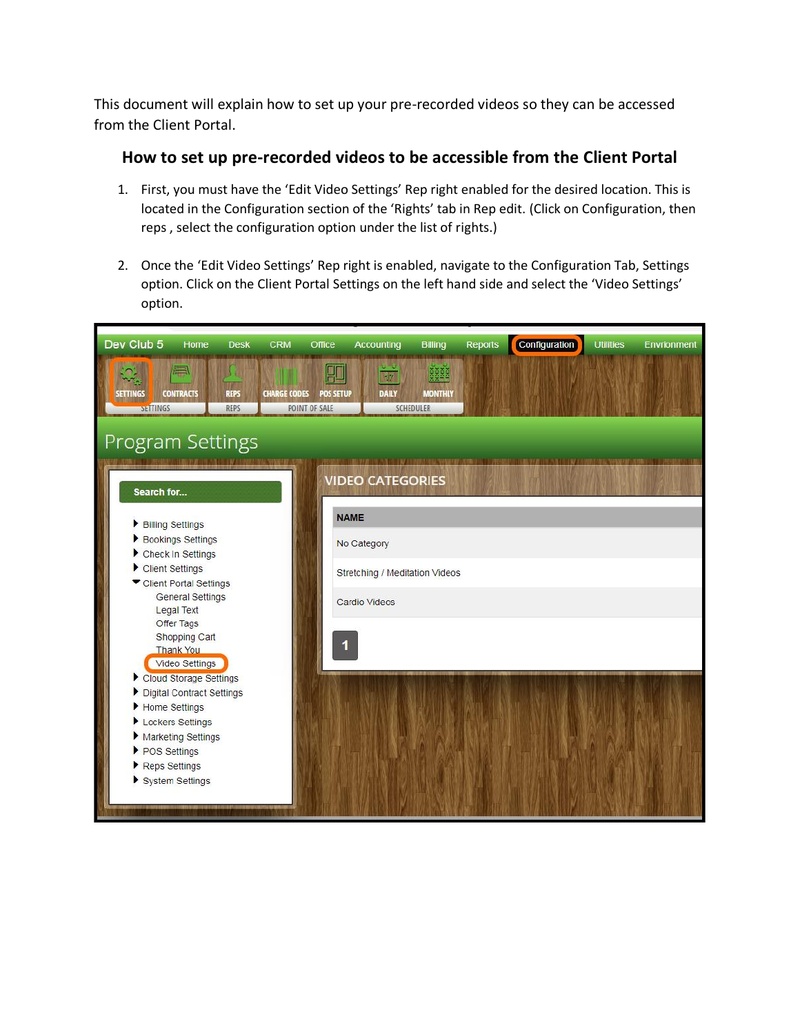This document will explain how to set up your pre-recorded videos so they can be accessed from the Client Portal.

## **How to set up pre-recorded videos to be accessible from the Client Portal**

- 1. First, you must have the 'Edit Video Settings' Rep right enabled for the desired location. This is located in the Configuration section of the 'Rights' tab in Rep edit. (Click on Configuration, then reps , select the configuration option under the list of rights.)
- 2. Once the 'Edit Video Settings' Rep right is enabled, navigate to the Configuration Tab, Settings option. Click on the Client Portal Settings on the left hand side and select the 'Video Settings' option.

| Dev Club 5<br>Home<br><b>CRM</b><br><b>Desk</b>                                                    | Office<br><b>Accounting</b>                                  | <b>Billing</b><br><b>Reports</b>           | Configuration | <b>Utilities</b> | <b>Envrionment</b> |
|----------------------------------------------------------------------------------------------------|--------------------------------------------------------------|--------------------------------------------|---------------|------------------|--------------------|
| 傳<br><b>CONTRACTS</b><br><b>CHARGE CODES</b><br><b>REPS</b><br>SETTINGS<br>SETTINGS<br><b>REPS</b> | HI<br>政<br><b>DAILY</b><br><b>POS SETUP</b><br>POINT OF SALE | 중중요권<br><b>MONTHLY</b><br><b>SCHEDULER</b> |               |                  |                    |
| <b>Program Settings</b>                                                                            |                                                              |                                            |               |                  |                    |
| Search for                                                                                         | <b>VIDEO CATEGORIES</b>                                      |                                            |               |                  |                    |
| Billing Settings                                                                                   | <b>NAME</b>                                                  |                                            |               |                  |                    |
| Bookings Settings                                                                                  | No Category                                                  |                                            |               |                  |                    |
| Check In Settings<br>Client Settings                                                               | Stretching / Meditation Videos                               |                                            |               |                  |                    |
| Client Portal Settings<br><b>General Settings</b>                                                  | Cardio Videos                                                |                                            |               |                  |                    |
| Legal Text<br>Offer Tags<br>Shopping Cart                                                          |                                                              |                                            |               |                  |                    |
| <b>Thank You</b><br>Video Settings                                                                 |                                                              |                                            |               |                  |                    |
| Cloud Storage Settings                                                                             |                                                              |                                            |               |                  |                    |
| Digital Contract Settings<br>Home Settings                                                         |                                                              |                                            |               |                  |                    |
| Lockers Settings                                                                                   |                                                              |                                            |               |                  |                    |
| Marketing Settings                                                                                 |                                                              |                                            |               |                  |                    |
| ▶ POS Settings                                                                                     |                                                              |                                            |               |                  |                    |
| Reps Settings<br>System Settings                                                                   |                                                              |                                            |               |                  |                    |
|                                                                                                    |                                                              |                                            |               |                  |                    |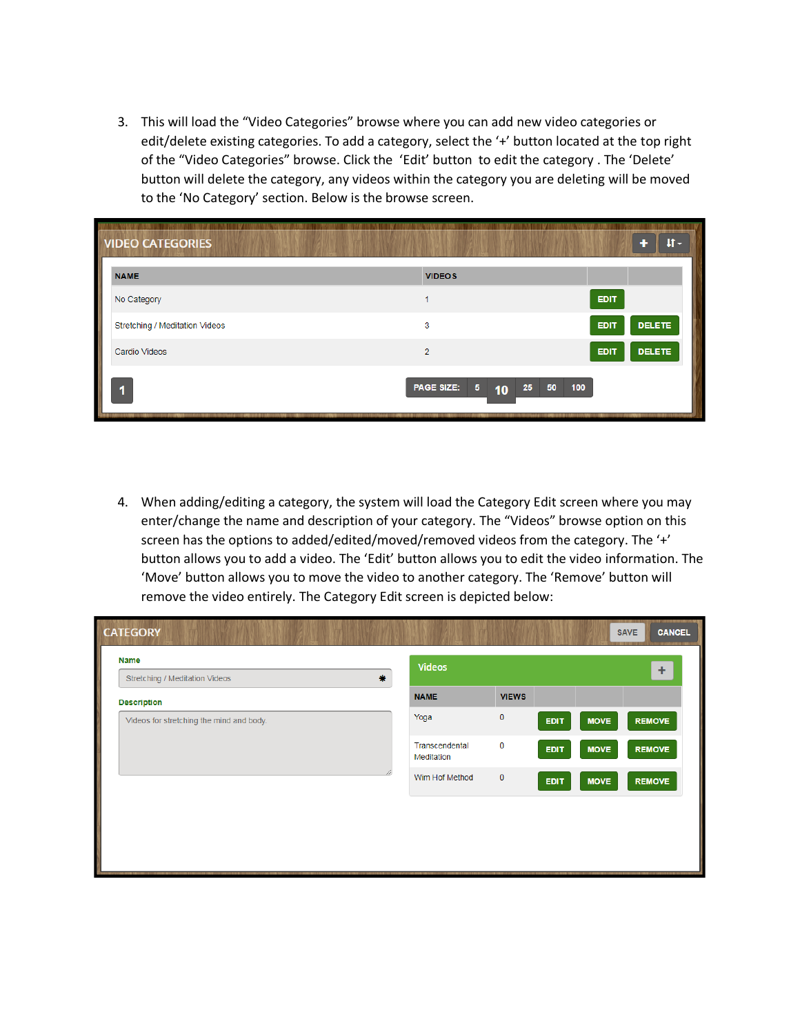3. This will load the "Video Categories" browse where you can add new video categories or edit/delete existing categories. To add a category, select the '+' button located at the top right of the "Video Categories" browse. Click the 'Edit' button to edit the category . The 'Delete' button will delete the category, any videos within the category you are deleting will be moved to the 'No Category' section. Below is the browse screen.

| <b>VIDEO CATEGORIES</b>        |                                       | $\text{II}$ -                |
|--------------------------------|---------------------------------------|------------------------------|
| <b>NAME</b>                    | <b>VIDEOS</b>                         |                              |
| No Category                    |                                       | <b>EDIT</b>                  |
| Stretching / Meditation Videos | 3                                     | <b>DELETE</b><br>EDIT        |
| Cardio Videos                  | $\overline{2}$                        | <b>DELETE</b><br><b>EDIT</b> |
|                                | <b>PAGE SIZE:</b><br>$\sqrt{5}$<br>10 | 50<br>25<br>100              |

4. When adding/editing a category, the system will load the Category Edit screen where you may enter/change the name and description of your category. The "Videos" browse option on this screen has the options to added/edited/moved/removed videos from the category. The '+' button allows you to add a video. The 'Edit' button allows you to edit the video information. The 'Move' button allows you to move the video to another category. The 'Remove' button will remove the video entirely. The Category Edit screen is depicted below:

| 素<br>Stretching / Meditation Videos<br><b>NAME</b><br><b>VIEWS</b><br><b>Description</b><br>$\mathbf 0$<br>Yoga<br>Videos for stretching the mind and body.<br><b>MOVE</b><br><b>EDIT</b><br>$\mathbf 0$<br>Transcendental<br><b>MOVE</b><br><b>EDIT</b><br>Meditation |                |                |             |             | ٠             |
|------------------------------------------------------------------------------------------------------------------------------------------------------------------------------------------------------------------------------------------------------------------------|----------------|----------------|-------------|-------------|---------------|
|                                                                                                                                                                                                                                                                        |                |                |             |             |               |
|                                                                                                                                                                                                                                                                        |                |                |             |             | <b>REMOVE</b> |
|                                                                                                                                                                                                                                                                        |                |                |             |             | <b>REMOVE</b> |
|                                                                                                                                                                                                                                                                        | Wim Hof Method | $\overline{0}$ | <b>EDIT</b> | <b>MOVE</b> | <b>REMOVE</b> |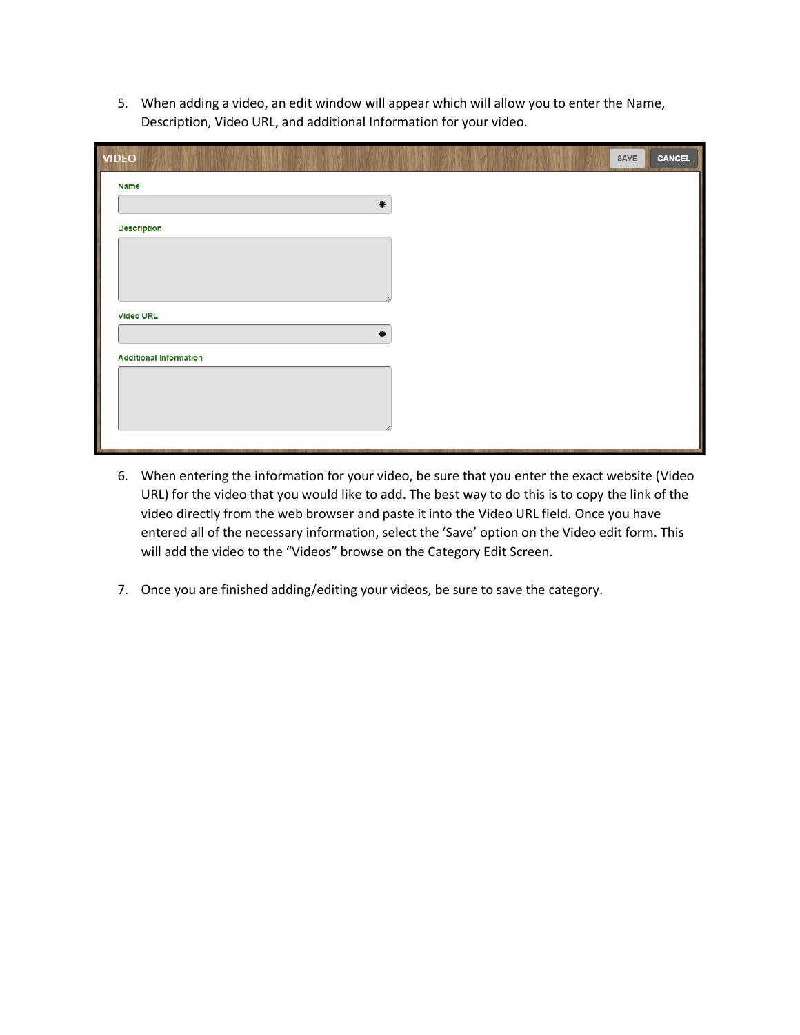5. When adding a video, an edit window will appear which will allow you to enter the Name, Description, Video URL, and additional Information for your video.

| <b>VIDEO</b>                  | SAVE | <b>CANCEL</b> |
|-------------------------------|------|---------------|
| <b>Name</b>                   |      |               |
| 帯                             |      |               |
| <b>Description</b>            |      |               |
|                               |      |               |
|                               |      |               |
| <b>Video URL</b>              |      |               |
| 帯                             |      |               |
| <b>Additional Information</b> |      |               |
|                               |      |               |
|                               |      |               |
|                               |      |               |

- 6. When entering the information for your video, be sure that you enter the exact website (Video URL) for the video that you would like to add. The best way to do this is to copy the link of the video directly from the web browser and paste it into the Video URL field. Once you have entered all of the necessary information, select the 'Save' option on the Video edit form. This will add the video to the "Videos" browse on the Category Edit Screen.
- 7. Once you are finished adding/editing your videos, be sure to save the category.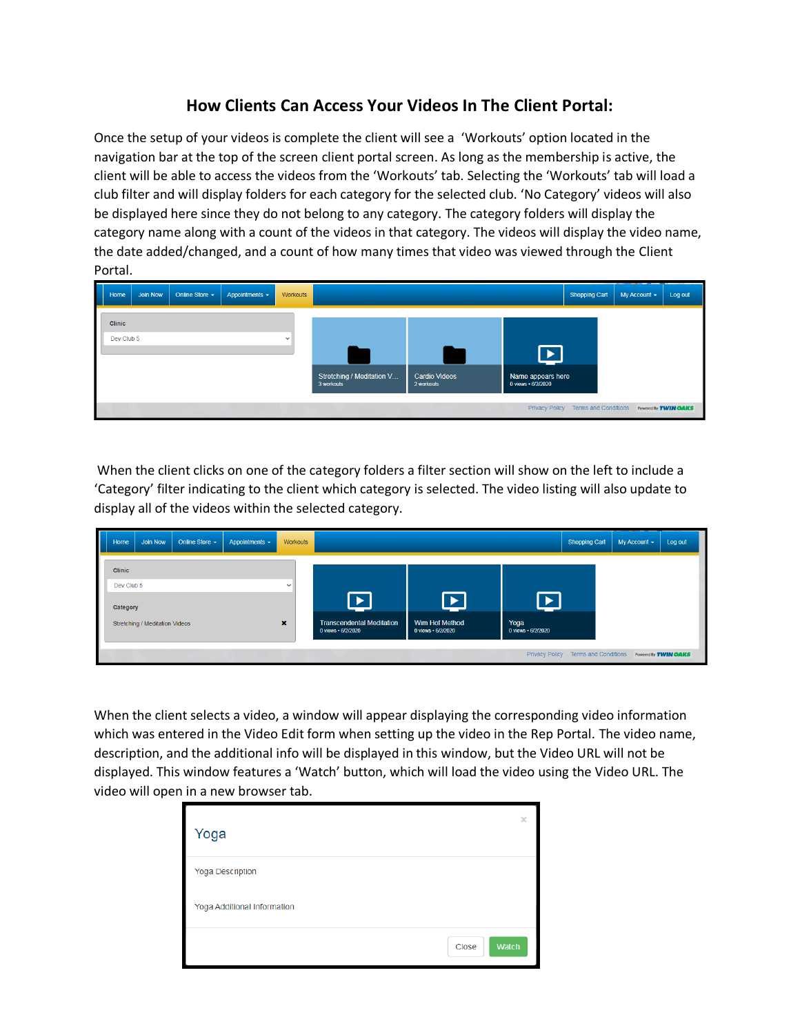## **How Clients Can Access Your Videos In The Client Portal:**

Once the setup of your videos is complete the client will see a 'Workouts' option located in the navigation bar at the top of the screen client portal screen. As long as the membership is active, the client will be able to access the videos from the 'Workouts' tab. Selecting the 'Workouts' tab will load a club filter and will display folders for each category for the selected club. 'No Category' videos will also be displayed here since they do not belong to any category. The category folders will display the category name along with a count of the videos in that category. The videos will display the video name, the date added/changed, and a count of how many times that video was viewed through the Client Portal.

| ı | Home       | <b>Join Now</b> | Online Store $\sim$ | Appointments $\sim$ | Workouts    |                                         |                                    |                                         | <b>Shopping Cart</b>                | My Account $\sim$ | Log out              |
|---|------------|-----------------|---------------------|---------------------|-------------|-----------------------------------------|------------------------------------|-----------------------------------------|-------------------------------------|-------------------|----------------------|
|   | Clinic     |                 |                     |                     |             |                                         |                                    |                                         |                                     |                   |                      |
|   | Dev Club 5 |                 |                     |                     | $\check{ }$ |                                         |                                    |                                         |                                     |                   |                      |
|   |            |                 |                     |                     |             | Stretching / Meditation V<br>3 workouts | <b>Cardio Videos</b><br>2 workouts | Name appears here<br>0 views · 6/2/2020 |                                     |                   |                      |
|   |            |                 |                     |                     |             |                                         |                                    |                                         | Privacy Policy Terms and Conditions |                   | Powered By TWIN OAKS |

When the client clicks on one of the category folders a filter section will show on the left to include a 'Category' filter indicating to the client which category is selected. The video listing will also update to display all of the videos within the selected category.

| I | Home          | Join Now                       | Online Store $\sim$ | Appointments $\sim$ | Workouts |                                                        |                                      |                            | <b>Shopping Cart</b>                | My Account $\sim$ | Log out                     |
|---|---------------|--------------------------------|---------------------|---------------------|----------|--------------------------------------------------------|--------------------------------------|----------------------------|-------------------------------------|-------------------|-----------------------------|
|   | <b>Clinic</b> |                                |                     |                     |          |                                                        |                                      |                            |                                     |                   |                             |
|   | Dev Club 5    |                                |                     |                     | $\sim$   |                                                        |                                      |                            |                                     |                   |                             |
|   | Category      |                                |                     |                     |          |                                                        |                                      |                            |                                     |                   |                             |
|   |               | Stretching / Meditation Videos |                     |                     | ×        | <b>Transcendental Meditation</b><br>0 views · 6/2/2020 | Wim Hof Method<br>0 views · 6/2/2020 | Yoga<br>0 views · 6/2/2020 |                                     |                   |                             |
|   |               |                                |                     |                     |          |                                                        |                                      |                            |                                     |                   |                             |
|   |               |                                |                     |                     |          |                                                        |                                      |                            | Privacy Policy Terms and Conditions |                   | Powered By <b>TWIN OAKS</b> |

When the client selects a video, a window will appear displaying the corresponding video information which was entered in the Video Edit form when setting up the video in the Rep Portal. The video name, description, and the additional info will be displayed in this window, but the Video URL will not be displayed. This window features a 'Watch' button, which will load the video using the Video URL. The video will open in a new browser tab.

| Yoga                        |       | $\times$     |
|-----------------------------|-------|--------------|
| <b>Yoga Description</b>     |       |              |
| Yoga Additional Information |       |              |
|                             | Close | <b>Watch</b> |